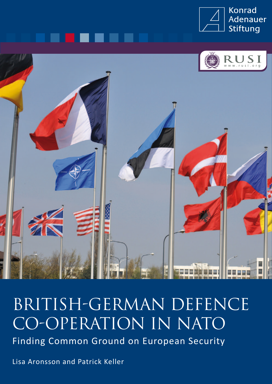



# BRITISH-GERMAN DEFENCE CO-OPERATION IN NATO Finding Common Ground on European Security

Lisa Aronsson and Patrick Keller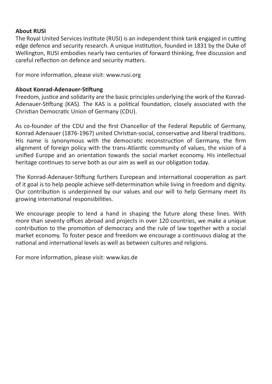## **About RUSI**

The Royal United Services Institute (RUSI) is an independent think tank engaged in cutting edge defence and security research. A unique institution, founded in 1831 by the Duke of Wellington, RUSI embodies nearly two centuries of forward thinking, free discussion and careful reflection on defence and security matters.

For more information, please visit: www.rusi.org

## **About Konrad-Adenauer-Stiftung**

Freedom, justice and solidarity are the basic principles underlying the work of the Konrad-Adenauer-Stiftung (KAS). The KAS is a political foundation, closely associated with the Christian Democratic Union of Germany (CDU).

As co-founder of the CDU and the first Chancellor of the Federal Republic of Germany, Konrad Adenauer (1876-1967) united Christian-social, conservative and liberal traditions. His name is synonymous with the democratic reconstruction of Germany, the firm alignment of foreign policy with the trans-Atlantic community of values, the vision of a unified Europe and an orientation towards the social market economy. His intellectual heritage continues to serve both as our aim as well as our obligation today.

The Konrad-Adenauer-Stiftung furthers European and international cooperation as part of it goal is to help people achieve self-determination while living in freedom and dignity. Our contribution is underpinned by our values and our will to help Germany meet its growing international responsibilities.

We encourage people to lend a hand in shaping the future along these lines. With more than seventy offices abroad and projects in over 120 countries, we make a unique contribution to the promotion of democracy and the rule of law together with a social market economy. To foster peace and freedom we encourage a continuous dialog at the national and international levels as well as between cultures and religions.

For more information, please visit: www.kas.de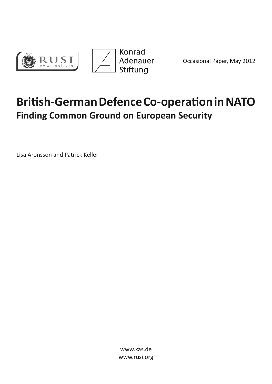



Occasional Paper, May 2012

## **British-German Defence Co-operation in NATO Finding Common Ground on European Security**

Lisa Aronsson and Patrick Keller

www.kas.de www.rusi.org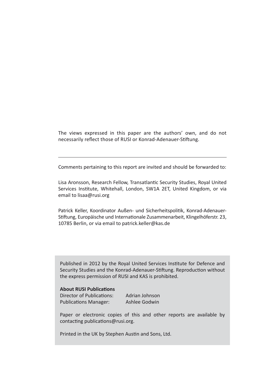The views expressed in this paper are the authors' own, and do not necessarily reflect those of RUSI or Konrad-Adenauer-Stiftung.

Comments pertaining to this report are invited and should be forwarded to:

Lisa Aronsson, Research Fellow, Transatlantic Security Studies, Royal United Services Institute, Whitehall, London, SW1A 2ET, United Kingdom, or via email to lisaa@rusi.org

Patrick Keller, Koordinator Außen- und Sicherheitspolitik, Konrad-Adenauer-Stiftung, Europäische und Internationale Zusammenarbeit, Klingelhöferstr. 23, 10785 Berlin, or via email to patrick.keller@kas.de

Published in 2012 by the Royal United Services Institute for Defence and Security Studies and the Konrad-Adenauer-Stiftung. Reproduction without the express permission of RUSI and KAS is prohibited.

#### **About RUSI Publications**

Director of Publications: Adrian Johnson Publications Manager: Ashlee Godwin

Paper or electronic copies of this and other reports are available by contacting publications@rusi.org.

Printed in the UK by Stephen Austin and Sons, Ltd.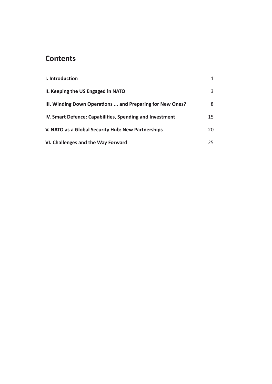## **Contents**

| I. Introduction                                           | 1  |
|-----------------------------------------------------------|----|
| II. Keeping the US Engaged in NATO                        | 3  |
| III. Winding Down Operations  and Preparing for New Ones? | 8  |
| IV. Smart Defence: Capabilities, Spending and Investment  | 15 |
| V. NATO as a Global Security Hub: New Partnerships        | 20 |
| VI. Challenges and the Way Forward                        | 25 |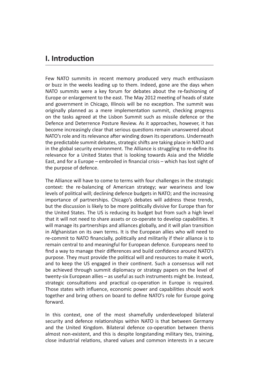## **I. Introduction**

Few NATO summits in recent memory produced very much enthusiasm or buzz in the weeks leading up to them. Indeed, gone are the days when NATO summits were a key forum for debates about the re-fashioning of Europe or enlargement to the east. The May 2012 meeting of heads of state and government in Chicago, Illinois will be no exception. The summit was originally planned as a mere implementation summit, checking progress on the tasks agreed at the Lisbon Summit such as missile defence or the Defence and Deterrence Posture Review. As it approaches, however, it has become increasingly clear that serious questions remain unanswered about NATO's role and its relevance after winding down its operations. Underneath the predictable summit debates, strategic shifts are taking place in NATO and in the global security environment. The Alliance is struggling to re-define its relevance for a United States that is looking towards Asia and the Middle East, and for a Europe – embroiled in financial crisis – which has lost sight of the purpose of defence.

The Alliance will have to come to terms with four challenges in the strategic context: the re-balancing of American strategy; war weariness and low levels of political will; declining defence budgets in NATO; and the increasing importance of partnerships. Chicago's debates will address these trends, but the discussion is likely to be more politically divisive for Europe than for the United States. The US is reducing its budget but from such a high level that it will not need to share assets or co-operate to develop capabilities. It will manage its partnerships and alliances globally, and it will plan transition in Afghanistan on its own terms. It is the European allies who will need to re-commit to NATO financially, politically and militarily if their alliance is to remain central to and meaningful for European defence. Europeans need to find a way to manage their differences and build confidence around NATO's purpose. They must provide the political will and resources to make it work, and to keep the US engaged in their continent. Such a consensus will not be achieved through summit diplomacy or strategy papers on the level of twenty-six European allies – as useful as such instruments might be. Instead, strategic consultations and practical co-operation in Europe is required. Those states with influence, economic power and capabilities should work together and bring others on board to define NATO's role for Europe going forward.

In this context, one of the most shamefully underdeveloped bilateral security and defence relationships within NATO is that between Germany and the United Kingdom. Bilateral defence co-operation between thenis almost non-existent, and this is despite longstanding military ties, training, close industrial relations, shared values and common interests in a secure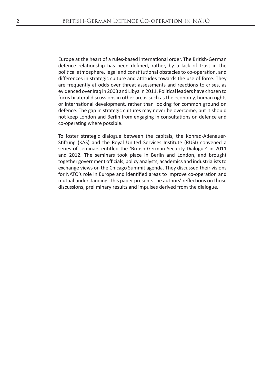Europe at the heart of a rules-based international order. The British-German defence relationship has been defined, rather, by a lack of trust in the political atmosphere, legal and constitutional obstacles to co-operation, and differences in strategic culture and attitudes towards the use of force. They are frequently at odds over threat assessments and reactions to crises, as evidenced over Iraq in 2003 and Libya in 2011. Political leaders have chosen to focus bilateral discussions in other areas such as the economy, human rights or international development, rather than looking for common ground on defence. The gap in strategic cultures may never be overcome, but it should not keep London and Berlin from engaging in consultations on defence and co-operating where possible.

To foster strategic dialogue between the capitals, the Konrad-Adenauer-Stiftung (KAS) and the Royal United Services Institute (RUSI) convened a series of seminars entitled the 'British-German Security Dialogue' in 2011 and 2012. The seminars took place in Berlin and London, and brought together government officials, policy analysts, academics and industrialists to exchange views on the Chicago Summit agenda. They discussed their visions for NATO's role in Europe and identified areas to improve co-operation and mutual understanding. This paper presents the authors' reflections on those discussions, preliminary results and impulses derived from the dialogue.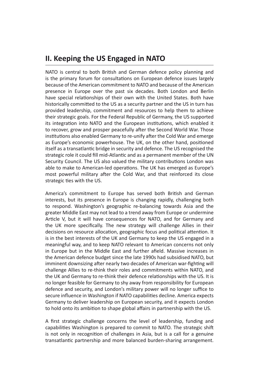## **II. Keeping the US Engaged in NATO**

NATO is central to both British and German defence policy planning and is the primary forum for consultations on European defence issues largely because of the American commitment to NATO and because of the American presence in Europe over the past six decades. Both London and Berlin have special relationships of their own with the United States. Both have historically committed to the US as a security partner and the US in turn has provided leadership, commitment and resources to help them to achieve their strategic goals. For the Federal Republic of Germany, the US supported its integration into NATO and the European institutions, which enabled it to recover, grow and prosper peacefully after the Second World War. Those institutions also enabled Germany to re-unify after the Cold War and emerge as Europe's economic powerhouse. The UK, on the other hand, positioned itself as a transatlantic bridge in security and defence. The US recognised the strategic role it could fill mid-Atlantic and as a permanent member of the UN Security Council. The US also valued the military contributions London was able to make to American-led operations. The UK has emerged as Europe's most powerful military after the Cold War, and that reinforced its close strategic ties with the US.

America's commitment to Europe has served both British and German interests, but its presence in Europe is changing rapidly, challenging both to respond. Washington's geographic re-balancing towards Asia and the greater Middle East may not lead to a trend away from Europe or undermine Article V, but it will have consequences for NATO, and for Germany and the UK more specifically. The new strategy will challenge Allies in their decisions on resource allocation, geographic focus and political attention. It is in the best interests of the UK and Germany to keep the US engaged in a meaningful way, and to keep NATO relevant to American concerns not only in Europe but in the Middle East and further afield. Massive increases in the American defence budget since the late 1990s had subsidised NATO, but imminent downsizing after nearly two decades of American war-fighting will challenge Allies to re-think their roles and commitments within NATO, and the UK and Germany to re-think their defence relationships with the US. It is no longer feasible for Germany to shy away from responsibility for European defence and security, and London's military power will no longer suffice to secure influence in Washington if NATO capabilities decline. America expects Germany to deliver leadership on European security, and it expects London to hold onto its ambition to shape global affairs in partnership with the US.

A first strategic challenge concerns the level of leadership, funding and capabilities Washington is prepared to commit to NATO. The strategic shift is not only in recognition of challenges in Asia, but is a call for a genuine transatlantic partnership and more balanced burden-sharing arrangement.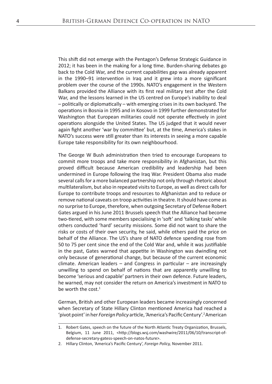This shift did not emerge with the Pentagon's Defense Strategic Guidance in 2012; it has been in the making for a long time. Burden-sharing debates go back to the Cold War, and the current capabilities gap was already apparent in the 1990–91 intervention in Iraq and it grew into a more significant problem over the course of the 1990s. NATO's engagement in the Western Balkans provided the Alliance with its first real military test after the Cold War, and the lessons learned in the US centred on Europe's inability to deal – politically or diplomatically – with emerging crises in its own backyard. The operations in Bosnia in 1995 and in Kosovo in 1999 further demonstrated for Washington that European militaries could not operate effectively in joint operations alongside the United States. The US judged that it would never again fight another 'war by committee' but, at the time, America's stakes in NATO's success were still greater than its interests in seeing a more capable Europe take responsibility for its own neighbourhood.

The George W Bush administration then tried to encourage Europeans to commit more troops and take more responsibility in Afghanistan, but this proved difficult because American credibility and leadership had been undermined in Europe following the Iraq War. President Obama also made several calls for a more balanced partnership not only through rhetoric about multilateralism, but also in repeated visits to Europe, as well as direct calls for Europe to contribute troops and resources to Afghanistan and to reduce or remove national caveats on troop activities in theatre. It should have come as no surprise to Europe, therefore, when outgoing Secretary of Defense Robert Gates argued in his June 2011 Brussels speech that the Alliance had become two-tiered, with some members specialising in 'soft' and 'talking tasks' while others conducted 'hard' security missions. Some did not want to share the risks or costs of their own security, he said, while others paid the price on behalf of the Alliance. The US's share of NATO defence spending rose from 50 to 75 per cent since the end of the Cold War and, while it was justifiable in the past, Gates warned that appetite in Washington was dwindling not only because of generational change, but because of the current economic climate. American leaders  $-$  and Congress in particular  $-$  are increasingly unwilling to spend on behalf of nations that are apparently unwilling to become 'serious and capable' partners in their own defence. Future leaders, he warned, may not consider the return on America's investment in NATO to be worth the cost. $1$ 

German, British and other European leaders became increasingly concerned when Secretary of State Hillary Clinton mentioned America had reached a 'pivot point' in her *Foreign Policy* article, 'America's Pacific Century'.2 American

<sup>1.</sup> Robert Gates, speech on the future of the North Atlantic Treaty Organization, Brussels, Belgium, 11 June 2011, <http://blogs.wsj.com/washwire/2011/06/10/transcript-ofdefense-secretary-gatess-speech-on-natos-future>.

<sup>2.</sup> Hillary Clinton, 'America's Pacific Century', *Foreign Policy,* November 2011.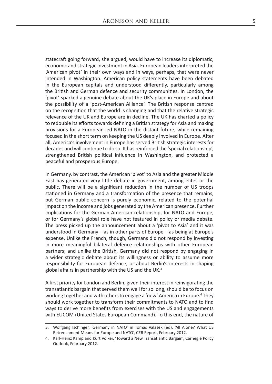statecraft going forward, she argued, would have to increase its diplomatic, economic and strategic investment in Asia. European leaders interpreted the 'American pivot' in their own ways and in ways, perhaps, that were never intended in Washington. American policy statements have been debated in the European capitals and understood differently, particularly among the British and German defence and security communities. In London, the 'pivot' sparked a genuine debate about the UK's place in Europe and about the possibility of a 'post-American Alliance'. The British response centred on the recognition that the world is changing and that the relative strategic relevance of the UK and Europe are in decline. The UK has charted a policy to redouble its efforts towards defining a British strategy for Asia and making provisions for a European-led NATO in the distant future, while remaining focused in the short term on keeping the US deeply involved in Europe. After all, America's involvement in Europe has served British strategic interests for decades and will continue to do so. It has reinforced the 'special relationship', strengthened British political influence in Washington, and protected a peaceful and prosperous Europe.

In Germany, by contrast, the American 'pivot' to Asia and the greater Middle East has generated very little debate in government, among elites or the public. There will be a significant reduction in the number of US troops stationed in Germany and a transformation of the presence that remains, but German public concern is purely economic, related to the potential impact on the income and jobs generated by the American presence. Further implications for the German-American relationship, for NATO and Europe, or for Germany's global role have not featured in policy or media debate. The press picked up the announcement about a 'pivot to Asia' and it was understood in Germany – as in other parts of Europe – as being at Europe's expense. Unlike the French, though, Germans did not respond by investing in more meaningful bilateral defence relationships with other European partners; and unlike the British, Germany did not respond by engaging in a wider strategic debate about its willingness or ability to assume more responsibility for European defence, or about Berlin's interests in shaping global affairs in partnership with the US and the UK. $3$ 

A first priority for London and Berlin, given their interest in reinvigorating the transatlantic bargain that served them well for so long, should be to focus on working together and with others to engage a 'new' America in Europe.<sup>4</sup> They should work together to transform their commitments to NATO and to find ways to derive more benefits from exercises with the US and engagements with EUCOM (United States European Command). To this end, the nature of

<sup>3.</sup> Wolfgang Ischinger, 'Germany in NATO' in Tomas Valasek (ed), 'All Alone? What US Retrenchment Means for Europe and NATO', CER Report, February 2012.

<sup>4.</sup> Karl-Heinz Kamp and Kurt Volker, 'Toward a New Transatlantic Bargain', Carnegie Policy Outlook, February 2012.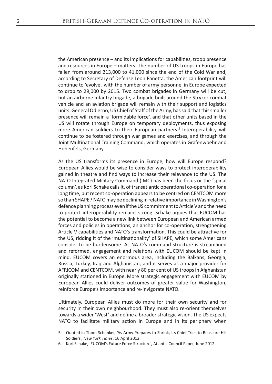the American presence – and its implications for capabilities, troop presence and resources in Europe – matters. The number of US troops in Europe has fallen from around 213,000 to 41,000 since the end of the Cold War and, according to Secretary of Defense Leon Panetta, the American footprint will continue to 'evolve', with the number of army personnel in Europe expected to drop to 29,000 by 2015. Two combat brigades in Germany will be cut, but an airborne infantry brigade, a brigade built around the Stryker combat vehicle and an aviation brigade will remain with their support and logistics units. General Odierno, US Chief of Staff of the Army, has said that this smaller presence will remain a 'formidable force', and that other units based in the US will rotate through Europe on temporary deployments, thus exposing more American soldiers to their European partners.<sup>5</sup> Interoperability will continue to be fostered through war games and exercises, and through the Joint Multinational Training Command, which operates in Grafenwoehr and Hohenfels, Germany.

As the US transforms its presence in Europe, how will Europe respond? European Allies would be wise to consider ways to protect interoperability gained in theatre and find ways to increase their relevance to the US. The NATO Integrated Military Command (IMC) has been the focus or the 'spinal column', as Kori Schake calls it, of transatlantic operational co-operation for a long time, but recent co-operation appears to be centred on CENTCOM more so than SHAPE.<sup>6</sup> NATO may be declining in relative importance in Washington's defence planning process even if the US commitment to Article V and the need to protect interoperability remains strong. Schake argues that EUCOM has the potential to become a new link between European and American armed forces and policies in operations, an anchor for co-operation, strengthening Article V capabilities and NATO's transformation. This could be attractive for the US, ridding it of the 'multinationality' of SHAPE, which some Americans consider to be burdensome. As NATO's command structure is streamlined and reformed, engagement and relations with EUCOM should be kept in mind. EUCOM covers an enormous area, including the Balkans, Georgia, Russia, Turkey, Iraq and Afghanistan, and it serves as a major provider for AFRICOM and CENTCOM, with nearly 80 per cent of US troops in Afghanistan originally stationed in Europe. More strategic engagement with EUCOM by European Allies could deliver outcomes of greater value for Washington, reinforce Europe's importance and re-invigorate NATO.

Ultimately, European Allies must do more for their own security and for security in their own neighbourhood. They must also re-orient themselves towards a wider 'West' and define a broader strategic vision. The US expects NATO to facilitate military action in Europe and in its periphery when

<sup>5.</sup> Quoted in Thom Schanker, 'As Army Prepares to Shrink, Its Chief Tries to Reassure His Soldiers', *New York Times*, 16 April 2012.

<sup>6.</sup> Kori Schake, 'EUCOM's Future Force Structure', Atlantic Council Paper, June 2012.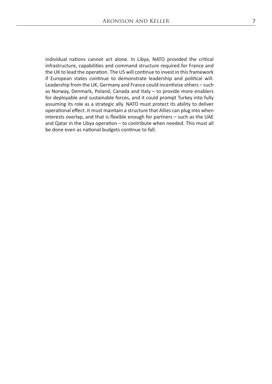individual nations cannot act alone. In Libya, NATO provided the critical infrastructure, capabilities and command structure required for France and the UK to lead the operation. The US will continue to invest in this framework if European states continue to demonstrate leadership and political will. Leadership from the UK, Germany and France could incentivise others – such as Norway, Denmark, Poland, Canada and Italy – to provide more enablers for deployable and sustainable forces, and it could prompt Turkey into fully assuming its role as a strategic ally. NATO must protect its ability to deliver operational effect. It must maintain a structure that Allies can plug into when interests overlap, and that is flexible enough for partners – such as the UAE and Qatar in the Libya operation – to contribute when needed. This must all be done even as national budgets continue to fall.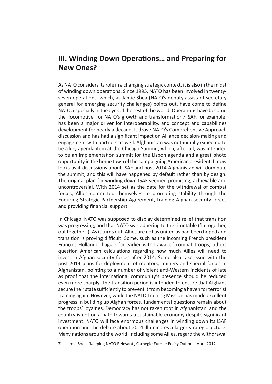## **III. Winding Down Operations… and Preparing for New Ones?**

As NATO considers its role in a changing strategic context, it is also in the midst of winding down operations. Since 1995, NATO has been involved in twentyseven operations, which, as Jamie Shea (NATO's deputy assistant secretary general for emerging security challenges) points out, have come to define NATO, especially in the eyes of the rest of the world. Operations have become the 'locomotive' for NATO's growth and transformation.<sup>7</sup> ISAF, for example, has been a major driver for interoperability, and concept and capabilities development for nearly a decade. It drove NATO's Comprehensive Approach discussion and has had a significant impact on Alliance decision-making and engagement with partners as well. Afghanistan was not initially expected to be a key agenda item at the Chicago Summit, which, after all, was intended to be an implementation summit for the Lisbon agenda and a great photo opportunity in the home town of the campaigning American president. It now looks as if discussions about ISAF and post-2014 Afghanistan will dominate the summit, and this will have happened by default rather than by design. The original plan for winding down ISAF seemed promising, achievable and uncontroversial. With 2014 set as the date for the withdrawal of combat forces, Allies committed themselves to promoting stability through the Enduring Strategic Partnership Agreement, training Afghan security forces and providing financial support.

In Chicago, NATO was supposed to display determined relief that transition was progressing, and that NATO was adhering to the timetable ('in together, out together'). As it turns out, Allies are not as united as had been hoped and transition is proving difficult. Some, such as the incoming French president François Hollande, haggle for earlier withdrawal of combat troops; others question American calculations regarding how much Allies will need to invest in Afghan security forces after 2014. Some also take issue with the post-2014 plans for deployment of mentors, trainers and special forces in Afghanistan, pointing to a number of violent anti-Western incidents of late as proof that the international community's presence should be reduced even more sharply. The transition period is intended to ensure that Afghans secure their state sufficiently to prevent it from becoming a haven for terrorist training again. However, while the NATO Training Mission has made excellent progress in building up Afghan forces, fundamental questions remain about the troops' loyalties. Democracy has not taken root in Afghanistan, and the country is not on a path towards a sustainable economy despite significant investment. NATO will face enormous challenges in winding down its ISAF operation and the debate about 2014 illuminates a larger strategic picture. Many nations around the world, including some Allies, regard the withdrawal

<sup>7.</sup> Jamie Shea, 'Keeping NATO Relevant', Carnegie Europe Policy Outlook, April 2012.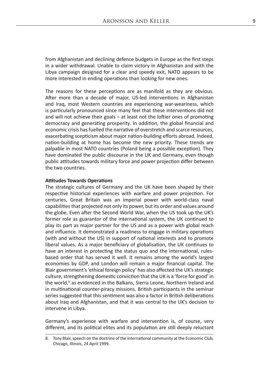from Afghanistan and declining defence budgets in Europe as the first steps in a wider withdrawal. Unable to claim victory in Afghanistan and with the Libya campaign designed for a clear and speedy exit, NATO appears to be more interested in ending operations than looking for new ones.

The reasons for these perceptions are as manifold as they are obvious. After more than a decade of major, US-led interventions in Afghanistan and Iraq, most Western countries are experiencing war-weariness, which is particularly pronounced since many feel that these interventions did not and will not achieve their goals – at least not the loftier ones of promoting democracy and generating prosperity. In addition, the global financial and economic crisis has fuelled the narrative of overstretch and scarce resources, exacerbating scepticism about major nation-building efforts abroad. Indeed, nation-building at home has become the new priority. These trends are palpable in most NATO countries (Poland being a possible exception). They have dominated the public discourse in the UK and Germany, even though public attitudes towards military force and power projection differ between the two countries.

#### **Attitudes Towards Operations**

The strategic cultures of Germany and the UK have been shaped by their respective historical experiences with warfare and power projection. For centuries, Great Britain was an imperial power with world-class naval capabilities that projected not only its power, but its order and values around the globe. Even after the Second World War, when the US took up the UK's former role as guarantor of the international system, the UK continued to play its part as major partner for the US and as a power with global reach and influence. It demonstrated a readiness to engage in military operations (with and without the US) in support of national interests and to promote liberal values. As a major beneficiary of globalisation, the UK continues to have an interest in protecting the status quo and the international, rulesbased order that has served it well. It remains among the world's largest economies by GDP, and London will remain a major financial capital. The Blair government's 'ethical foreign policy' has also affected the UK's strategic culture, strengthening domestic conviction that the UK is a 'force for good' in the world,<sup>8</sup> as evidenced in the Balkans, Sierra Leone, Northern Ireland and in multinational counter-piracy missions. British participants in the seminar series suggested that this sentiment was also a factor in British deliberations about Iraq and Afghanistan, and that it was central to the UK's decision to intervene in Libya.

Germany's experience with warfare and intervention is, of course, very different, and its political elites and its population are still deeply reluctant

<sup>8.</sup> Tony Blair, speech on the doctrine of the international community at the Economic Club, Chicago, Illinois, 24 April 1999.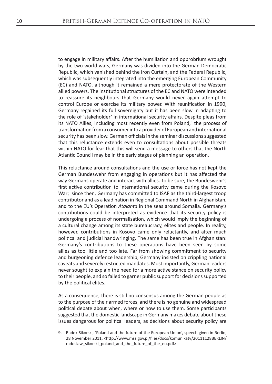to engage in military affairs. After the humiliation and opprobrium wrought by the two world wars, Germany was divided into the German Democratic Republic, which vanished behind the Iron Curtain, and the Federal Republic, which was subsequently integrated into the emerging European Community (EC) and NATO, although it remained a mere protectorate of the Western allied powers. The institutional structures of the EC and NATO were intended to reassure its neighbours that Germany would never again attempt to control Europe or exercise its military power. With reunification in 1990, Germany regained its full sovereignty but it has been slow in adapting to the role of 'stakeholder' in international security affairs. Despite pleas from its NATO Allies, including most recently even from Poland,<sup>9</sup> the process of transformation from a consumer into a provider of European and international security has been slow. German officials in the seminar discussions suggested that this reluctance extends even to consultations about possible threats within NATO for fear that this will send a message to others that the North Atlantic Council may be in the early stages of planning an operation.

This reluctance around consultations and the use or force has not kept the German Bundeswehr from engaging in operations but it has affected the way Germans operate and interact with allies. To be sure, the Bundeswehr's first active contribution to international security came during the Kosovo War; since then, Germany has committed to ISAF as the third-largest troop contributor and as a lead nation in Regional Command North in Afghanistan, and to the EU's Operation *Atalanta* in the seas around Somalia. Germany's contributions could be interpreted as evidence that its security policy is undergoing a process of normalisation, which would imply the beginning of a cultural change among its state bureaucracy, elites and people. In reality, however, contributions in Kosovo came only reluctantly, and after much political and judicial handwringing. The same has been true in Afghanistan: Germany's contributions to these operations have been seen by some allies as too little and too late. Far from showing commitment to security and burgeoning defence leadership, Germany insisted on crippling national caveats and severely restricted mandates. Most importantly, German leaders never sought to explain the need for a more active stance on security policy to their people, and so failed to garner public support for decisions supported by the political elites.

As a consequence, there is still no consensus among the German people as to the purpose of their armed forces, and there is no genuine and widespread political debate about when, where or how to use them. Some participants suggested that the domestic landscape in Germany makes debate about these issues dangerous for political leaders, as decisions about security policy are

<sup>9.</sup> Radek Sikorski, 'Poland and the future of the European Union', speech given in Berlin, 28 November 2011, <http://www.msz.gov.pl/files/docs/komunikaty/20111128BERLIN/ radoslaw\_sikorski\_poland\_and\_the\_future\_of\_the\_eu.pdf>.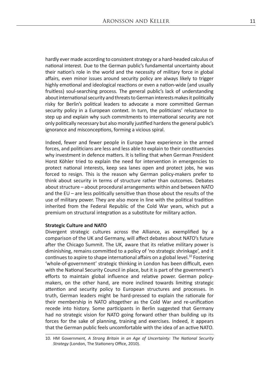hardly ever made according to consistent strategy or a hard-headed calculus of national interest. Due to the German public's fundamental uncertainty about their nation's role in the world and the necessity of military force in global affairs, even minor issues around security policy are always likely to trigger highly emotional and ideological reactions or even a nation-wide (and usually fruitless) soul-searching process. The general public's lack of understanding about international security and threats to German interests makes it politically risky for Berlin's political leaders to advocate a more committed German security policy in a European context. In turn, the politicians' reluctance to step up and explain why such commitments to international security are not only politically necessary but also morally justified hardens the general public's ignorance and misconceptions, forming a vicious spiral.

Indeed, fewer and fewer people in Europe have experience in the armed forces, and politicians are less and less able to explain to their constituencies why investment in defence matters. It is telling that when German President Horst Köhler tried to explain the need for intervention in emergencies to protect national interests, keep sea lanes open and protect jobs, he was forced to resign. This is the reason why German policy-makers prefer to think about security in terms of structure rather than outcomes. Debates about structure – about procedural arrangements within and between NATO and the EU – are less politically sensitive than those about the results of the use of military power. They are also more in line with the political tradition inherited from the Federal Republic of the Cold War years, which put a premium on structural integration as a substitute for military action.

#### **Strategic Culture and NATO**

Divergent strategic cultures across the Alliance, as exemplified by a comparison of the UK and Germany, will affect debates about NATO's future after the Chicago Summit. The UK, aware that its relative military power is diminishing, remains committed to a policy of 'no strategic shrinkage', and it continues to aspire to shape international affairs on a global level.<sup>10</sup> Fostering 'whole-of-government' strategic thinking in London has been difficult, even with the National Security Council in place, but it is part of the government's efforts to maintain global influence and relative power. German policymakers, on the other hand, are more inclined towards limiting strategic attention and security policy to European structures and processes. In truth, German leaders might be hard-pressed to explain the rationale for their membership in NATO altogether as the Cold War and re-unification recede into history. Some participants in Berlin suggested that Germany had no strategic vision for NATO going forward other than building up its forces for the sake of planning, training and exercises. Indeed, it appears that the German public feels uncomfortable with the idea of an active NATO.

<sup>10.</sup> HM Government, *A Strong Britain in an Age of Uncertainty: The National Security Strategy* (London, The Stationery Office, 2010).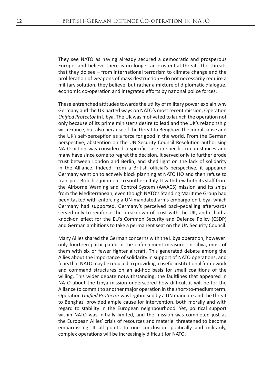They see NATO as having already secured a democratic and prosperous Europe, and believe there is no longer an existential threat. The threats that they do see – from international terrorism to climate change and the proliferation of weapons of mass destruction – do not necessarily require a military solution, they believe, but rather a mixture of diplomatic dialogue, economic co-operation and integrated efforts by national police forces.

These entrenched attitudes towards the utility of military power explain why Germany and the UK parted ways on NATO's most recent mission, Operation *Unified Protector* in Libya. The UK was motivated to launch the operation not only because of its prime minister's desire to lead and the UK's relationship with France, but also because of the threat to Benghazi, the moral cause and the UK's self-perception as a force for good in the world. From the German perspective, abstention on the UN Security Council Resolution authorising NATO action was considered a specific case in specific circumstances and many have since come to regret the decision. It served only to further erode trust between London and Berlin, and shed light on the lack of solidarity in the Alliance. Indeed, from a British official's perspective, it appeared Germany went on to actively block planning at NATO HQ and then refuse to transport British equipment to southern Italy. It withdrew both its staff from the Airborne Warning and Control System (AWACS) mission and its ships from the Mediterranean, even though NATO's Standing Maritime Group had been tasked with enforcing a UN-mandated arms embargo on Libya, which Germany had supported. Germany's perceived back-pedalling afterwards served only to reinforce the breakdown of trust with the UK, and it had a knock-on effect for the EU's Common Security and Defence Policy (CSDP) and German ambitions to take a permanent seat on the UN Security Council.

Many Allies shared the German concerns with the Libya operation, however: only fourteen participated in the enforcement measures in Libya, most of them with six or fewer fighter aircraft. This generated debate among the Allies about the importance of solidarity in support of NATO operations, and fears that NATO may be reduced to providing a useful institutional framework and command structures on an ad-hoc basis for small coalitions of the willing. This wider debate notwithstanding, the faultlines that appeared in NATO about the Libya mission underscored how difficult it will be for the Alliance to commit to another major operation in the short-to-medium term. Operation *Unified Protector* was legitimised by a UN mandate and the threat to Benghazi provided ample cause for intervention, both morally and with regard to stability in the European neighbourhood. Yet, political support within NATO was initially limited, and the mission was completed just as the European Allies' crisis of resources and materiel threatened to become embarrassing. It all points to one conclusion: politically and militarily, complex operations will be increasingly difficult for NATO.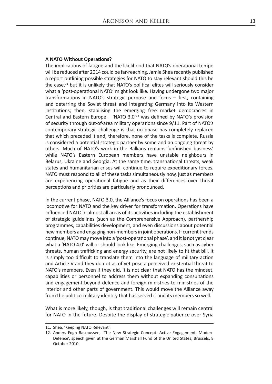#### **A NATO Without Operations?**

The implications of fatigue and the likelihood that NATO's operational tempo will be reduced after 2014 could be far-reaching. Jamie Shea recently published a report outlining possible strategies for NATO to stay relevant should this be the case, $11$  but it is unlikely that NATO's political elites will seriously consider what a 'post-operational NATO' might look like. Having undergone two major transformations in NATO's strategic purpose and focus – first, containing and deterring the Soviet threat and integrating Germany into its Western institutions; then, stabilising the emerging free market democracies in Central and Eastern Europe – 'NATO  $3.0$ <sup>'12</sup> was defined by NATO's provision of security through out-of-area military operations since 9/11. Part of NATO's contemporary strategic challenge is that no phase has completely replaced that which preceded it and, therefore, none of the tasks is complete. Russia is considered a potential strategic partner by some and an ongoing threat by others. Much of NATO's work in the Balkans remains 'unfinished business' while NATO's Eastern European members have unstable neighbours in Belarus, Ukraine and Georgia. At the same time, transnational threats, weak states and humanitarian crises will continue to require expeditionary forces. NATO must respond to all of these tasks simultaneously now, just as members are experiencing operational fatigue and as their differences over threat perceptions and priorities are particularly pronounced.

In the current phase, NATO 3.0, the Alliance's focus on operations has been a locomotive for NATO and the key driver for transformation. Operations have influenced NATO in almost all areas of its activities including the establishment of strategic guidelines (such as the Comprehensive Approach), partnership programmes, capabilities development, and even discussions about potential new members and engaging non-members in joint operations. If current trends continue, NATO may move into a 'post-operational phase', and it is not yet clear what a 'NATO 4.0' will or should look like. Emerging challenges, such as cyber threats, human trafficking and energy security, are not likely to fit that bill. It is simply too difficult to translate them into the language of military action and Article V and they do not as of yet pose a perceived existential threat to NATO's members. Even if they did, it is not clear that NATO has the mindset, capabilities or personnel to address them without expanding consultations and engagement beyond defence and foreign ministries to ministries of the interior and other parts of government. This would move the Alliance away from the politico-military identity that has served it and its members so well.

What is more likely, though, is that traditional challenges will remain central for NATO in the future. Despite the display of strategic patience over Syria

<sup>11.</sup> Shea, 'Keeping NATO Relevant'.

<sup>12.</sup> Anders Fogh Rasmussen, 'The New Strategic Concept: Active Engagement, Modern Defence', speech given at the German Marshall Fund of the United States, Brussels, 8 October 2010.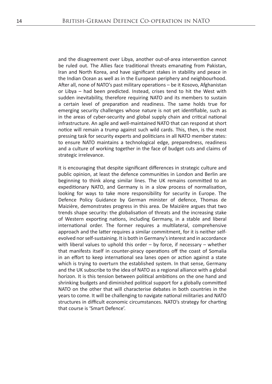and the disagreement over Libya, another out-of-area intervention cannot be ruled out. The Allies face traditional threats emanating from Pakistan, Iran and North Korea, and have significant stakes in stability and peace in the Indian Ocean as well as in the European periphery and neighbourhood. After all, none of NATO's past military operations – be it Kosovo, Afghanistan or Libya – had been predicted. Instead, crises tend to hit the West with sudden inevitability, therefore requiring NATO and its members to sustain a certain level of preparation and readiness. The same holds true for emerging security challenges whose nature is not yet identifiable, such as in the areas of cyber-security and global supply chain and critical national infrastructure. An agile and well-maintained NATO that can respond at short notice will remain a trump against such wild cards. This, then, is the most pressing task for security experts and politicians in all NATO member states: to ensure NATO maintains a technological edge, preparedness, readiness and a culture of working together in the face of budget cuts and claims of strategic irrelevance.

It is encouraging that despite significant differences in strategic culture and public opinion, at least the defence communities in London and Berlin are beginning to think along similar lines. The UK remains committed to an expeditionary NATO, and Germany is in a slow process of normalisation, looking for ways to take more responsibility for security in Europe. The Defence Policy Guidance by German minister of defence, Thomas de Maizière, demonstrates progress in this area. De Maizière argues that two trends shape security: the globalisation of threats and the increasing stake of Western exporting nations, including Germany, in a stable and liberal international order. The former requires a multilateral, comprehensive approach and the latter requires a similar commitment, for it is neither selfevolved nor self-sustaining. It is both in Germany's interest and in accordance with liberal values to uphold this order – by force, if necessary – whether that manifests itself in counter-piracy operations off the coast of Somalia in an effort to keep international sea lanes open or action against a state which is trying to overturn the established system. In that sense, Germany and the UK subscribe to the idea of NATO as a regional alliance with a global horizon. It is this tension between political ambitions on the one hand and shrinking budgets and diminished political support for a globally committed NATO on the other that will characterise debates in both countries in the years to come. It will be challenging to navigate national militaries and NATO structures in difficult economic circumstances. NATO's strategy for charting that course is 'Smart Defence'.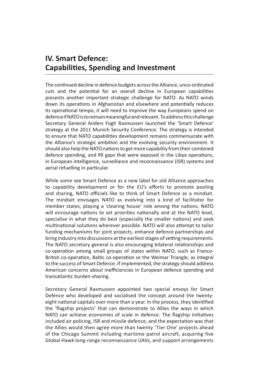## **IV. Smart Defence: Capabilities, Spending and Investment**

The continued decline in defence budgets across the Alliance, unco-ordinated cuts and the potential for an overall decline in European capabilities presents another important strategic challenge for NATO. As NATO winds down its operations in Afghanistan and elsewhere and potentially reduces its operational tempo, it will need to improve the way Europeans spend on defence if NATO is to remain meaningful and relevant. To address this challenge Secretary General Anders Fogh Rasmussen launched the 'Smart Defence' strategy at the 2011 Munich Security Conference. The strategy is intended to ensure that NATO capabilities development remains commensurate with the Alliance's strategic ambition and the evolving security environment. It should also help the NATO nations to get more capability from their combined defence spending, and fill gaps that were exposed in the Libya operations, in European intelligence, surveillance and reconnaissance (ISR) systems and aerial refuelling in particular.

While some see Smart Defence as a new label for old Alliance approaches to capability development or for the EU's efforts to promote pooling and sharing, NATO officials like to think of Smart Defence as a mindset. The mindset envisages NATO as evolving into a kind of facilitator for member states, playing a 'clearing house' role among the nations. NATO will encourage nations to set priorities nationally and at the NATO level, specialise in what they do best (especially the smaller nations) and seek multinational solutions wherever possible. NATO will also attempt to tailor funding mechanisms for joint projects, enhance defence partnerships and bring industry into discussions at the earliest stages of setting requirements. The NATO secretary general is also encouraging bilateral relationships and co-operation among small groups of states within NATO, such as Franco-British co-operation, Baltic co-operation or the Weimar Triangle, as integral to the success of Smart Defence. If implemented, the strategy should address American concerns about inefficiencies in European defence spending and transatlantic burden-sharing.

Secretary General Rasmussen appointed two special envoys for Smart Defence who developed and socialised the concept around the twentyeight national capitals over more than a year. In the process, they identified the 'flagship projects' that can demonstrate to Allies the ways in which NATO can achieve economies of scale in defence. The flagship initiatives included air policing, ISR and missile defence, and the expectation was that the Allies would then agree more than twenty 'Tier One' projects ahead of the Chicago Summit including maritime patrol aircraft, acquiring five Global Hawk long-range reconnaissance UAVs, and support arrangements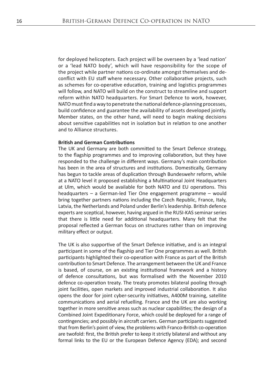for deployed helicopters. Each project will be overseen by a 'lead nation' or a 'lead NATO body', which will have responsibility for the scope of the project while partner nations co-ordinate amongst themselves and deconflict with EU staff where necessary. Other collaborative projects, such as schemes for co-operative education, training and logistics programmes will follow, and NATO will build on the construct to streamline and support reform within NATO headquarters. For Smart Defence to work, however, NATO must find a way to penetrate the national defence-planning processes, build confidence and guarantee the availability of assets developed jointly. Member states, on the other hand, will need to begin making decisions about sensitive capabilities not in isolation but in relation to one another and to Alliance structures.

#### **British and German Contributions**

The UK and Germany are both committed to the Smart Defence strategy, to the flagship programmes and to improving collaboration, but they have responded to the challenge in different ways. Germany's main contribution has been in the area of structures and institutions. Domestically, Germany has begun to tackle areas of duplication through Bundeswehr reform, while at a NATO level it proposed establishing a Multinational Joint Headquarters at Ulm, which would be available for both NATO and EU operations. This headquarters – a German-led Tier One engagement programme – would bring together partners nations including the Czech Republic, France, Italy, Latvia, the Netherlands and Poland under Berlin's leadership. British defence experts are sceptical, however, having argued in the RUSI-KAS seminar series that there is little need for additional headquarters. Many felt that the proposal reflected a German focus on structures rather than on improving military effect or output.

The UK is also supportive of the Smart Defence initiative, and is an integral participant in some of the flagship and Tier One programmes as well. British participants highlighted their co-operation with France as part of the British contribution to Smart Defence. The arrangement between the UK and France is based, of course, on an existing institutional framework and a history of defence consultations, but was formalised with the November 2010 defence co-operation treaty. The treaty promotes bilateral pooling through joint facilities, open markets and improved industrial collaboration. It also opens the door for joint cyber-security initiatives, A400M training, satellite communications and aerial refuelling. France and the UK are also working together in more sensitive areas such as nuclear capabilities; the design of a Combined Joint Expeditionary Force, which could be deployed for a range of contingencies; and possibly in aircraft carriers. German participants suggested that from Berlin's point of view, the problems with Franco-British co-operation are twofold: first, the British prefer to keep it strictly bilateral and without any formal links to the EU or the European Defence Agency (EDA); and second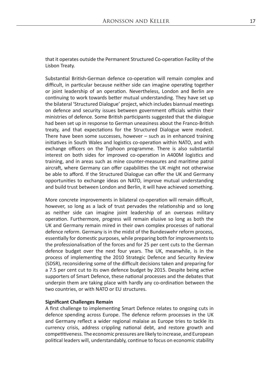that it operates outside the Permanent Structured Co-operation Facility of the Lisbon Treaty.

Substantial British-German defence co-operation will remain complex and difficult, in particular because neither side can imagine operating together or joint leadership of an operation. Nevertheless, London and Berlin are continuing to work towards better mutual understanding. They have set up the bilateral 'Structured Dialogue' project, which includes biannual meetings on defence and security issues between government officials within their ministries of defence. Some British participants suggested that the dialogue had been set up in response to German uneasiness about the Franco-British treaty, and that expectations for the Structured Dialogue were modest. There have been some successes, however – such as in enhanced training initiatives in South Wales and logistics co-operation within NATO, and with exchange officers on the Typhoon programme. There is also substantial interest on both sides for improved co-operation in A400M logistics and training, and in areas such as mine counter-measures and maritime patrol aircraft, where Germany can offer capabilities the UK might not otherwise be able to afford. If the Structured Dialogue can offer the UK and Germany opportunities to exchange ideas on NATO, improve mutual understanding and build trust between London and Berlin, it will have achieved something.

More concrete improvements in bilateral co-operation will remain difficult, however, so long as a lack of trust pervades the relationship and so long as neither side can imagine joint leadership of an overseas military operation. Furthermore, progress will remain elusive so long as both the UK and Germany remain mired in their own complex processes of national defence reform. Germany is in the midst of the Bundeswehr reform process, essentially for domestic purposes, while preparing both for improvements to the professionalisation of the forces and for 25 per cent cuts to the German defence budget over the next four years. The UK, meanwhile, is in the process of implementing the 2010 Strategic Defence and Security Review (SDSR), reconsidering some of the difficult decisions taken and preparing for a 7.5 per cent cut to its own defence budget by 2015. Despite being active supporters of Smart Defence, these national processes and the debates that underpin them are taking place with hardly any co-ordination between the two countries, or with NATO or EU structures.

#### **Significant Challenges Remain**

A first challenge to implementing Smart Defence relates to ongoing cuts in defence spending across Europe. The defence reform processes in the UK and Germany reflect a wider regional malaise as Europe tries to tackle its currency crisis, address crippling national debt, and restore growth and competitiveness. The economic pressures are likely to increase, and European political leaders will, understandably, continue to focus on economic stability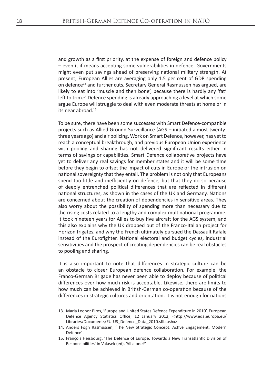and growth as a first priority, at the expense of foreign and defence policy – even it if means accepting some vulnerabilities in defence. Governments might even put savings ahead of preserving national military strength. At present, European Allies are averaging only 1.5 per cent of GDP spending on defence13 and further cuts, Secretary General Rasmussen has argued, are likely to eat into 'muscle and then bone', because there is hardly any 'fat' left to trim.<sup>14</sup> Defence spending is already approaching a level at which some argue Europe will struggle to deal with even moderate threats at home or in its near abroad.15

To be sure, there have been some successes with Smart Defence-compatible projects such as Allied Ground Surveillance (AGS – initiated almost twentythree years ago) and air policing. Work on Smart Defence, however, has yet to reach a conceptual breakthrough, and previous European Union experience with pooling and sharing has not delivered significant results either in terms of savings or capabilities. Smart Defence collaborative projects have yet to deliver any real savings for member states and it will be some time before they begin to offset the impact of cuts in Europe or the intrusion on national sovereignty that they entail. The problem is not only that Europeans spend too little and inefficiently on defence, but that they do so because of deeply entrenched political differences that are reflected in different national structures, as shown in the cases of the UK and Germany. Nations are concerned about the creation of dependencies in sensitive areas. They also worry about the possibility of spending more than necessary due to the rising costs related to a lengthy and complex multinational programme. It took nineteen years for Allies to buy five aircraft for the AGS system, and this also explains why the UK dropped out of the Franco-Italian project for Horizon frigates, and why the French ultimately pursued the Dassault Rafale instead of the Eurofighter. National electoral and budget cycles, industrial sensitivities and the prospect of creating dependencies can be real obstacles to pooling and sharing.

It is also important to note that differences in strategic culture can be an obstacle to closer European defence collaboration. For example, the Franco-German Brigade has never been able to deploy because of political differences over how much risk is acceptable. Likewise, there are limits to how much can be achieved in British-German co-operation because of the differences in strategic cultures and orientation. It is not enough for nations

<sup>13.</sup> Maria Leonor Pires, 'Europe and United States Defence Expenditure in 2010', European Defence Agency Statistics Office, 12 January 2012, <http://www.eda.europa.eu/ Libraries/Documents/EU-US\_Defence\_Data\_2010.sflb.ashx>.

<sup>14.</sup> Anders Fogh Rasmussen, 'The New Strategic Concept: Active Engagement, Modern Defence' .

<sup>15.</sup> François Heisbourg, 'The Defence of Europe: Towards a New Transatlantic Division of Responsibilities' in Valasek (ed), 'All alone?'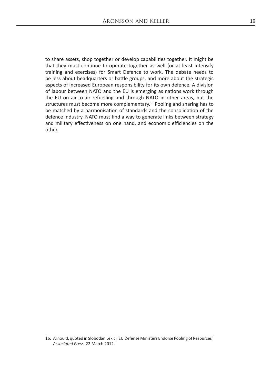to share assets, shop together or develop capabilities together. It might be that they must continue to operate together as well (or at least intensify training and exercises) for Smart Defence to work. The debate needs to be less about headquarters or battle groups, and more about the strategic aspects of increased European responsibility for its own defence. A division of labour between NATO and the EU is emerging as nations work through the EU on air-to-air refuelling and through NATO in other areas, but the structures must become more complementary.<sup>16</sup> Pooling and sharing has to be matched by a harmonisation of standards and the consolidation of the defence industry. NATO must find a way to generate links between strategy and military effectiveness on one hand, and economic efficiencies on the other.

16. Arnould, quoted in Slobodan Lekic, 'EU Defense Ministers Endorse Pooling of Resources', *Associated Press*, 22 March 2012.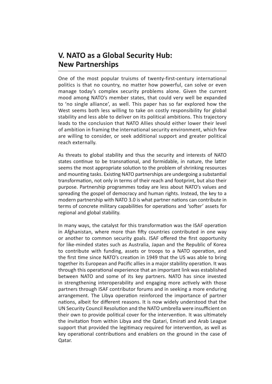## **V. NATO as a Global Security Hub: New Partnerships**

One of the most popular truisms of twenty-first-century international politics is that no country, no matter how powerful, can solve or even manage today's complex security problems alone. Given the current mood among NATO's member states, that could very well be expanded to 'no single alliance', as well. This paper has so far explored how the West seems both less willing to take on costly responsibility for global stability and less able to deliver on its political ambitions. This trajectory leads to the conclusion that NATO Allies should either lower their level of ambition in framing the international security environment, which few are willing to consider, or seek additional support and greater political reach externally.

As threats to global stability and thus the security and interests of NATO states continue to be transnational, and formidable, in nature, the latter seems the most appropriate solution to the problem of shrinking resources and mounting tasks. Existing NATO partnerships are undergoing a substantial transformation, not only in terms of their reach and footprint, but also their purpose. Partnership programmes today are less about NATO's values and spreading the gospel of democracy and human rights. Instead, the key to a modern partnership with NATO 3.0 is what partner nations can contribute in terms of concrete military capabilities for operations and 'softer' assets for regional and global stability.

In many ways, the catalyst for this transformation was the ISAF operation in Afghanistan, where more than fifty countries contributed in one way or another to common security goals. ISAF offered the first opportunity for like-minded states such as Australia, Japan and the Republic of Korea to contribute with funding, assets or troops to a NATO operation, and the first time since NATO's creation in 1949 that the US was able to bring together its European and Pacific allies in a major stability operation. It was through this operational experience that an important link was established between NATO and some of its key partners. NATO has since invested in strengthening interoperability and engaging more actively with those partners through ISAF contributor forums and in seeking a more enduring arrangement. The Libya operation reinforced the importance of partner nations, albeit for different reasons. It is now widely understood that the UN Security Council Resolution and the NATO umbrella were insufficient on their own to provide political cover for the intervention. It was ultimately the invitation from within Libya and the Qatari, Emirati and Arab League support that provided the legitimacy required for intervention, as well as key operational contributions and enablers on the ground in the case of Qatar.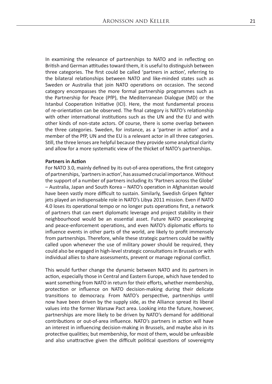In examining the relevance of partnerships to NATO and in reflecting on British and German attitudes toward them, it is useful to distinguish between three categories. The first could be called 'partners in action', referring to the bilateral relationships between NATO and like-minded states such as Sweden or Australia that join NATO operations on occasion. The second category encompasses the more formal partnership programmes such as the Partnership for Peace (PfP), the Mediterranean Dialogue (MD) or the Istanbul Cooperation Initiative (ICI). Here, the most fundamental process of re-orientation can be observed. The final category is NATO's relationship with other international institutions such as the UN and the EU and with other kinds of non-state actors. Of course, there is some overlap between the three categories. Sweden, for instance, as a 'partner in action' and a member of the PfP, UN and the EU is a relevant actor in all three categories. Still, the three lenses are helpful because they provide some analytical clarity and allow for a more systematic view of the thicket of NATO's partnerships.

#### **Partners in Action**

For NATO 3.0, mainly defined by its out-of-area operations, the first category of partnerships, 'partners in action', has assumed crucial importance. Without the support of a number of partners including its 'Partners across the Globe' – Australia, Japan and South Korea – NATO's operation in Afghanistan would have been vastly more difficult to sustain. Similarly, Swedish Gripen fighter jets played an indispensable role in NATO's Libya 2011 mission. Even if NATO 4.0 loses its operational tempo or no longer puts operations first, a network of partners that can exert diplomatic leverage and project stability in their neighbourhood would be an essential asset. Future NATO peacekeeping and peace-enforcement operations, and even NATO's diplomatic efforts to influence events in other parts of the world, are likely to profit immensely from partnerships. Therefore, while these strategic partners could be swiftly called upon whenever the use of military power should be required, they could also be engaged in high-level strategic consultations in Brussels or with individual allies to share assessments, prevent or manage regional conflict.

This would further change the dynamic between NATO and its partners in action, especially those in Central and Eastern Europe, which have tended to want something from NATO in return for their efforts, whether membership, protection or influence on NATO decision-making during their delicate transitions to democracy. From NATO's perspective, partnerships until now have been driven by the supply side, as the Alliance spread its liberal values into the former Warsaw Pact area. Looking into the future, however, partnerships are more likely to be driven by NATO's demand for additional contributions or out-of-area influence. NATO's partners in action will have an interest in influencing decision-making in Brussels, and maybe also in its protective qualities; but membership, for most of them, would be unfeasible and also unattractive given the difficult political questions of sovereignty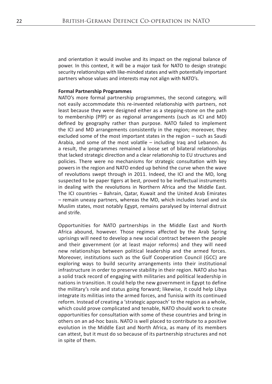and orientation it would involve and its impact on the regional balance of power. In this context, it will be a major task for NATO to design strategic security relationships with like-minded states and with potentially important partners whose values and interests may not align with NATO's.

#### **Formal Partnership Programmes**

NATO's more formal partnership programmes, the second category, will not easily accommodate this re-invented relationship with partners, not least because they were designed either as a stepping-stone on the path to membership (PfP) or as regional arrangements (such as ICI and MD) defined by geography rather than purpose. NATO failed to implement the ICI and MD arrangements consistently in the region; moreover, they excluded some of the most important states in the region – such as Saudi Arabia, and some of the most volatile – including Iraq and Lebanon. As a result, the programmes remained a loose set of bilateral relationships that lacked strategic direction and a clear relationship to EU structures and policies. There were no mechanisms for strategic consultation with key powers in the region and NATO ended up behind the curve when the wave of revolutions swept through in 2011. Indeed, the ICI and the MD, long suspected to be paper tigers at best, proved to be ineffectual instruments in dealing with the revolutions in Northern Africa and the Middle East. The ICI countries – Bahrain, Qatar, Kuwait and the United Arab Emirates – remain uneasy partners, whereas the MD, which includes Israel and six Muslim states, most notably Egypt, remains paralysed by internal distrust and strife.

Opportunities for NATO partnerships in the Middle East and North Africa abound, however. Those regimes affected by the Arab Spring uprisings will need to develop a new social contract between the people and their government (or at least major reforms) and they will need new relationships between political leadership and the armed forces. Moreover, institutions such as the Gulf Cooperation Council (GCC) are exploring ways to build security arrangements into their institutional infrastructure in order to preserve stability in their region. NATO also has a solid track record of engaging with militaries and political leadership in nations in transition. It could help the new government in Egypt to define the military's role and status going forward; likewise, it could help Libya integrate its militias into the armed forces, and Tunisia with its continued reform. Instead of creating a 'strategic approach' to the region as a whole, which could prove complicated and tenable, NATO should work to create opportunities for consultation with some of these countries and bring in others on an ad-hoc basis. NATO is well placed to contribute to a positive evolution in the Middle East and North Africa, as many of its members can attest, but it must do so because of its partnership structures and not in spite of them.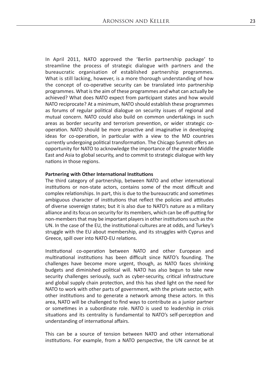In April 2011, NATO approved the 'Berlin partnership package' to streamline the process of strategic dialogue with partners and the bureaucratic organisation of established partnership programmes. What is still lacking, however, is a more thorough understanding of how the concept of co-operative security can be translated into partnership programmes. What is the aim of these programmes and what can actually be achieved? What does NATO expect from participant states and how would NATO reciprocate? At a minimum, NATO should establish these programmes as forums of regular political dialogue on security issues of regional and mutual concern. NATO could also build on common undertakings in such areas as border security and terrorism prevention, or wider strategic cooperation. NATO should be more proactive and imaginative in developing ideas for co-operation, in particular with a view to the MD countries currently undergoing political transformation. The Chicago Summit offers an opportunity for NATO to acknowledge the importance of the greater Middle East and Asia to global security, and to commit to strategic dialogue with key nations in those regions.

#### **Partnering with Other International Institutions**

The third category of partnership, between NATO and other international institutions or non-state actors, contains some of the most difficult and complex relationships. In part, this is due to the bureaucratic and sometimes ambiguous character of institutions that reflect the policies and attitudes of diverse sovereign states; but it is also due to NATO's nature as a military alliance and its focus on security for its members, which can be off-putting for non-members that may be important players in other institutions such as the UN. In the case of the EU, the institutional cultures are at odds, and Turkey's struggle with the EU about membership, and its struggles with Cyprus and Greece, spill over into NATO-EU relations.

Institutional co-operation between NATO and other European and multinational institutions has been difficult since NATO's founding. The challenges have become more urgent, though, as NATO faces shrinking budgets and diminished political will. NATO has also begun to take new security challenges seriously, such as cyber-security, critical infrastructure and global supply chain protection, and this has shed light on the need for NATO to work with other parts of government, with the private sector, with other institutions and to generate a network among these actors. In this area, NATO will be challenged to find ways to contribute as a junior partner or sometimes in a subordinate role. NATO is used to leadership in crisis situations and its centrality is fundamental to NATO's self-perception and understanding of international affairs.

This can be a source of tension between NATO and other international institutions. For example, from a NATO perspective, the UN cannot be at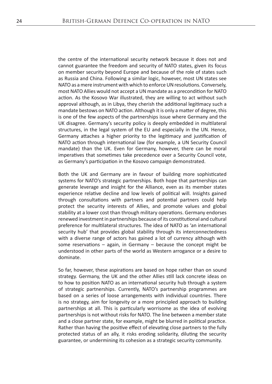the centre of the international security network because it does not and cannot guarantee the freedom and security of NATO states, given its focus on member security beyond Europe and because of the role of states such as Russia and China. Following a similar logic, however, most UN states see NATO as a mere instrument with which to enforce UN resolutions. Conversely, most NATO Allies would not accept a UN mandate as a precondition for NATO action. As the Kosovo War illustrated, they are willing to act without such approval although, as in Libya, they cherish the additional legitimacy such a mandate bestows on NATO action. Although it is only a matter of degree, this is one of the few aspects of the partnerships issue where Germany and the UK disagree. Germany's security policy is deeply embedded in multilateral structures, in the legal system of the EU and especially in the UN. Hence, Germany attaches a higher priority to the legitimacy and justification of NATO action through international law (for example, a UN Security Council mandate) than the UK. Even for Germany, however, there can be moral imperatives that sometimes take precedence over a Security Council vote, as Germany's participation in the Kosovo campaign demonstrated.

Both the UK and Germany are in favour of building more sophisticated systems for NATO's strategic partnerships. Both hope that partnerships can generate leverage and insight for the Alliance, even as its member states experience relative decline and low levels of political will. Insights gained through consultations with partners and potential partners could help protect the security interests of Allies, and promote values and global stability at a lower cost than through military operations. Germany endorses renewed investment in partnerships because of its constitutional and cultural preference for multilateral structures. The idea of NATO as 'an international security hub' that provides global stability through its interconnectedness with a diverse range of actors has gained a lot of currency although with some reservations  $-$  again, in Germany  $-$  because the concept might be understood in other parts of the world as Western arrogance or a desire to dominate.

So far, however, these aspirations are based on hope rather than on sound strategy. Germany, the UK and the other Allies still lack concrete ideas on to how to position NATO as an international security hub through a system of strategic partnerships. Currently, NATO's partnership programmes are based on a series of loose arrangements with individual countries. There is no strategy, aim for longevity or a more principled approach to building partnerships at all. This is particularly worrisome as the idea of evolving partnerships is not without risks for NATO. The line between a member state and a close partner state, for example, might be blurred in political practice. Rather than having the positive effect of elevating close partners to the fully protected status of an ally, it risks eroding solidarity, diluting the security guarantee, or undermining its cohesion as a strategic security community.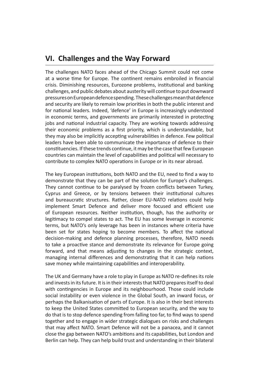## **VI. Challenges and the Way Forward**

The challenges NATO faces ahead of the Chicago Summit could not come at a worse time for Europe. The continent remains embroiled in financial crisis. Diminishing resources, Eurozone problems, institutional and banking challenges, and public debates about austerity will continue to put downward pressures on European defence spending. These challenges mean that defence and security are likely to remain low priorities in both the public interest and for national leaders. Indeed, 'defence' in Europe is increasingly understood in economic terms, and governments are primarily interested in protecting jobs and national industrial capacity. They are working towards addressing their economic problems as a first priority, which is understandable, but they may also be implicitly accepting vulnerabilities in defence. Few political leaders have been able to communicate the importance of defence to their constituencies. If these trends continue, it may be the case that few European countries can maintain the level of capabilities and political will necessary to contribute to complex NATO operations in Europe or in its near abroad.

The key European institutions, both NATO and the EU, need to find a way to demonstrate that they can be part of the solution for Europe's challenges. They cannot continue to be paralysed by frozen conflicts between Turkey, Cyprus and Greece, or by tensions between their institutional cultures and bureaucratic structures. Rather, closer EU-NATO relations could help implement Smart Defence and deliver more focused and efficient use of European resources. Neither institution, though, has the authority or legitimacy to compel states to act. The EU has some leverage in economic terms, but NATO's only leverage has been in instances where criteria have been set for states hoping to become members. To affect the national decision-making and defence planning processes, therefore, NATO needs to take a proactive stance and demonstrate its relevance for Europe going forward, and that means adjusting to changes in the strategic context, managing internal differences and demonstrating that it can help nations save money while maintaining capabilities and interoperability.

The UK and Germany have a role to play in Europe as NATO re-defines its role and invests in its future. It is in their interests that NATO prepares itself to deal with contingencies in Europe and its neighbourhood. Those could include social instability or even violence in the Global South, an inward focus, or perhaps the Balkanisation of parts of Europe. It is also in their best interests to keep the United States committed to European security, and the way to do that is to stop defence spending from falling too far, to find ways to spend together and to engage in wider strategic dialogues on risks and challenges that may affect NATO. Smart Defence will not be a panacea, and it cannot close the gap between NATO's ambitions and its capabilities, but London and Berlin can help. They can help build trust and understanding in their bilateral